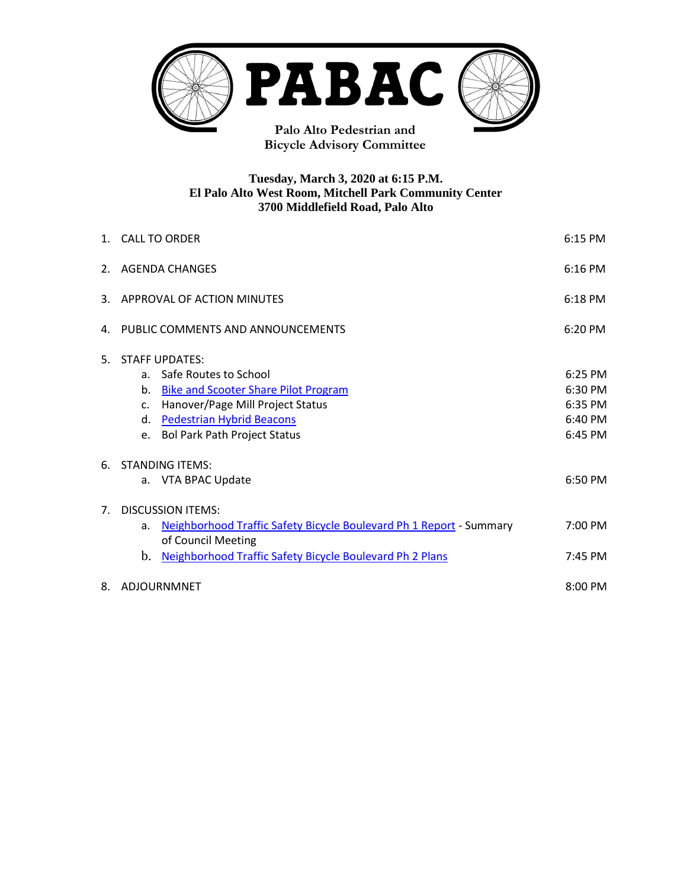

# **Tuesday, March 3, 2020 at 6:15 P.M. El Palo Alto West Room, Mitchell Park Community Center 3700 Middlefield Road, Palo Alto**

|                | 1. CALL TO ORDER                                                          |         |  |  |
|----------------|---------------------------------------------------------------------------|---------|--|--|
| 2.             | <b>AGENDA CHANGES</b>                                                     |         |  |  |
| 3.             | APPROVAL OF ACTION MINUTES                                                |         |  |  |
| 4.             | PUBLIC COMMENTS AND ANNOUNCEMENTS                                         |         |  |  |
| 5.             | <b>STAFF UPDATES:</b>                                                     |         |  |  |
|                | Safe Routes to School<br>a.                                               | 6:25 PM |  |  |
|                | b.<br><b>Bike and Scooter Share Pilot Program</b>                         | 6:30 PM |  |  |
|                | Hanover/Page Mill Project Status<br>$C_{\star}$                           | 6:35 PM |  |  |
|                | <b>Pedestrian Hybrid Beacons</b><br>d.                                    | 6:40 PM |  |  |
|                | <b>Bol Park Path Project Status</b><br>e.                                 | 6:45 PM |  |  |
| 6.             | <b>STANDING ITEMS:</b>                                                    |         |  |  |
|                | a. VTA BPAC Update                                                        | 6:50 PM |  |  |
| 7 <sup>1</sup> | <b>DISCUSSION ITEMS:</b>                                                  |         |  |  |
|                | Neighborhood Traffic Safety Bicycle Boulevard Ph 1 Report - Summary<br>a. |         |  |  |
|                | of Council Meeting                                                        |         |  |  |
|                | b.<br>Neighborhood Traffic Safety Bicycle Boulevard Ph 2 Plans            | 7:45 PM |  |  |
| 8.             | ADJOURNMNET                                                               |         |  |  |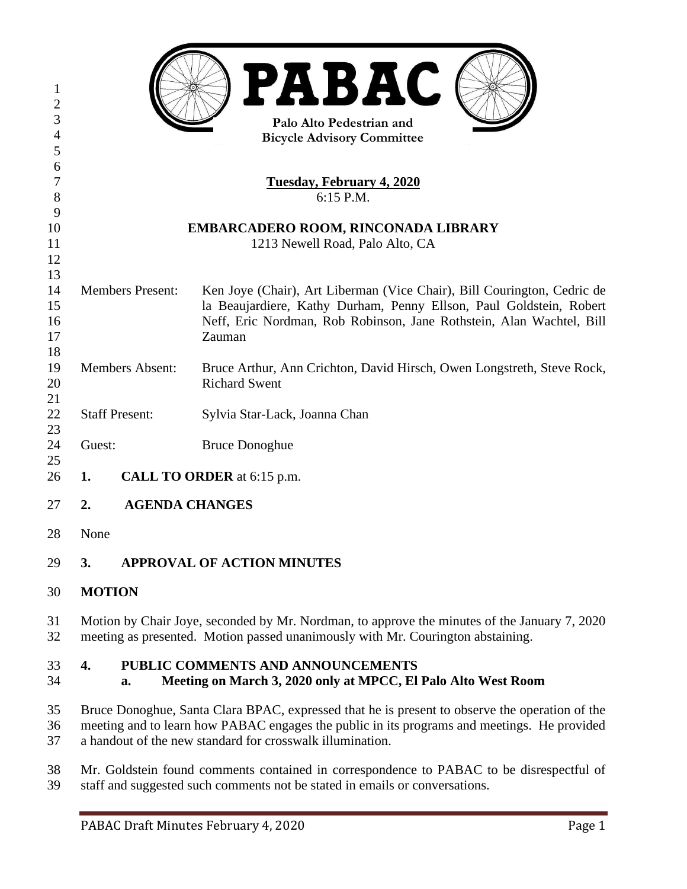| 1<br>$\overline{2}$<br>3<br>$\overline{4}$ |                                     | PABAC<br>Palo Alto Pedestrian and<br><b>Bicycle Advisory Committee</b>                                                                      |  |  |  |  |
|--------------------------------------------|-------------------------------------|---------------------------------------------------------------------------------------------------------------------------------------------|--|--|--|--|
| 5<br>6                                     |                                     |                                                                                                                                             |  |  |  |  |
| $\tau$                                     |                                     | <b>Tuesday, February 4, 2020</b>                                                                                                            |  |  |  |  |
| 8                                          | 6:15 P.M.                           |                                                                                                                                             |  |  |  |  |
| 9                                          |                                     |                                                                                                                                             |  |  |  |  |
| 10                                         | EMBARCADERO ROOM, RINCONADA LIBRARY |                                                                                                                                             |  |  |  |  |
| 11                                         | 1213 Newell Road, Palo Alto, CA     |                                                                                                                                             |  |  |  |  |
| 12                                         |                                     |                                                                                                                                             |  |  |  |  |
| 13                                         |                                     |                                                                                                                                             |  |  |  |  |
| 14                                         | <b>Members Present:</b>             | Ken Joye (Chair), Art Liberman (Vice Chair), Bill Courington, Cedric de                                                                     |  |  |  |  |
| 15<br>16                                   |                                     | la Beaujardiere, Kathy Durham, Penny Ellson, Paul Goldstein, Robert<br>Neff, Eric Nordman, Rob Robinson, Jane Rothstein, Alan Wachtel, Bill |  |  |  |  |
| 17                                         |                                     | Zauman                                                                                                                                      |  |  |  |  |
| 18                                         |                                     |                                                                                                                                             |  |  |  |  |
| 19                                         | <b>Members Absent:</b>              | Bruce Arthur, Ann Crichton, David Hirsch, Owen Longstreth, Steve Rock,                                                                      |  |  |  |  |
| 20                                         |                                     | <b>Richard Swent</b>                                                                                                                        |  |  |  |  |
| 21                                         |                                     |                                                                                                                                             |  |  |  |  |
| 22                                         | <b>Staff Present:</b>               | Sylvia Star-Lack, Joanna Chan                                                                                                               |  |  |  |  |
| 23                                         |                                     |                                                                                                                                             |  |  |  |  |
| 24                                         | Guest:                              | <b>Bruce Donoghue</b>                                                                                                                       |  |  |  |  |
| 25                                         |                                     |                                                                                                                                             |  |  |  |  |
| 26                                         | 1.                                  | CALL TO ORDER at 6:15 p.m.                                                                                                                  |  |  |  |  |
| 27                                         | 2.                                  | <b>AGENDA CHANGES</b>                                                                                                                       |  |  |  |  |
| 28                                         | None                                |                                                                                                                                             |  |  |  |  |

- **3. APPROVAL OF ACTION MINUTES**
- **MOTION**
- Motion by Chair Joye, seconded by Mr. Nordman, to approve the minutes of the January 7, 2020 meeting as presented. Motion passed unanimously with Mr. Courington abstaining.

# **4. PUBLIC COMMENTS AND ANNOUNCEMENTS**

# **a. Meeting on March 3, 2020 only at MPCC, El Palo Alto West Room**

- Bruce Donoghue, Santa Clara BPAC, expressed that he is present to observe the operation of the meeting and to learn how PABAC engages the public in its programs and meetings. He provided a handout of the new standard for crosswalk illumination.
- Mr. Goldstein found comments contained in correspondence to PABAC to be disrespectful of staff and suggested such comments not be stated in emails or conversations.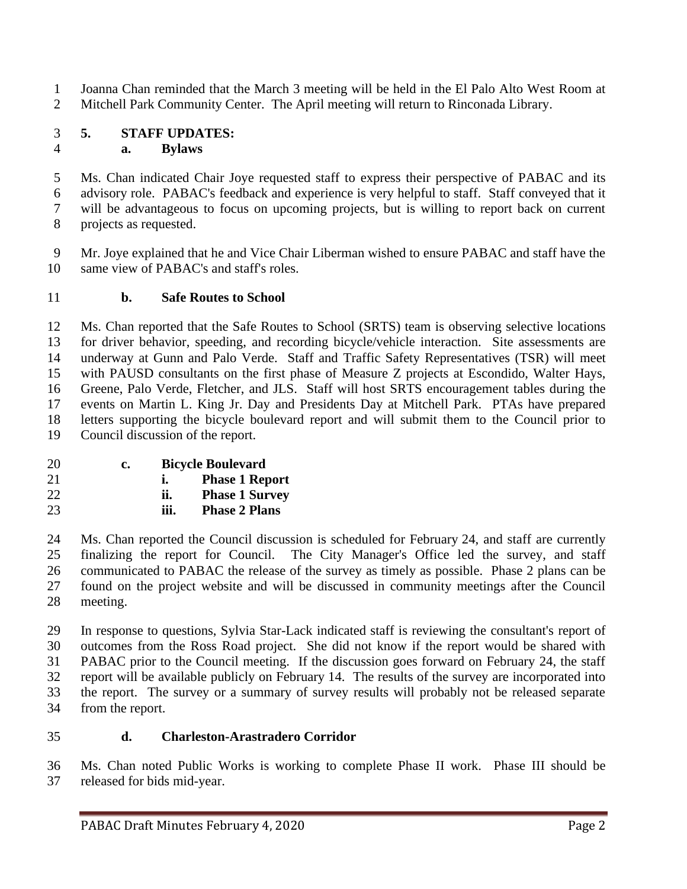Joanna Chan reminded that the March 3 meeting will be held in the El Palo Alto West Room at Mitchell Park Community Center. The April meeting will return to Rinconada Library.

#### **5. STAFF UPDATES: a. Bylaws**

 Ms. Chan indicated Chair Joye requested staff to express their perspective of PABAC and its advisory role. PABAC's feedback and experience is very helpful to staff. Staff conveyed that it will be advantageous to focus on upcoming projects, but is willing to report back on current projects as requested.

 Mr. Joye explained that he and Vice Chair Liberman wished to ensure PABAC and staff have the same view of PABAC's and staff's roles.

## **b. Safe Routes to School**

 Ms. Chan reported that the Safe Routes to School (SRTS) team is observing selective locations for driver behavior, speeding, and recording bicycle/vehicle interaction. Site assessments are underway at Gunn and Palo Verde. Staff and Traffic Safety Representatives (TSR) will meet with PAUSD consultants on the first phase of Measure Z projects at Escondido, Walter Hays, Greene, Palo Verde, Fletcher, and JLS. Staff will host SRTS encouragement tables during the events on Martin L. King Jr. Day and Presidents Day at Mitchell Park. PTAs have prepared letters supporting the bicycle boulevard report and will submit them to the Council prior to Council discussion of the report.

| 20 | c. | <b>Bicycle Boulevard</b> |                       |
|----|----|--------------------------|-----------------------|
| 21 |    |                          | <b>Phase 1 Report</b> |
| 22 |    | ii.                      | <b>Phase 1 Survey</b> |

**iii. Phase 2 Plans**

 Ms. Chan reported the Council discussion is scheduled for February 24, and staff are currently finalizing the report for Council. The City Manager's Office led the survey, and staff communicated to PABAC the release of the survey as timely as possible. Phase 2 plans can be found on the project website and will be discussed in community meetings after the Council meeting.

 In response to questions, Sylvia Star-Lack indicated staff is reviewing the consultant's report of outcomes from the Ross Road project. She did not know if the report would be shared with PABAC prior to the Council meeting. If the discussion goes forward on February 24, the staff report will be available publicly on February 14. The results of the survey are incorporated into the report. The survey or a summary of survey results will probably not be released separate from the report.

## **d. Charleston-Arastradero Corridor**

 Ms. Chan noted Public Works is working to complete Phase II work. Phase III should be released for bids mid-year.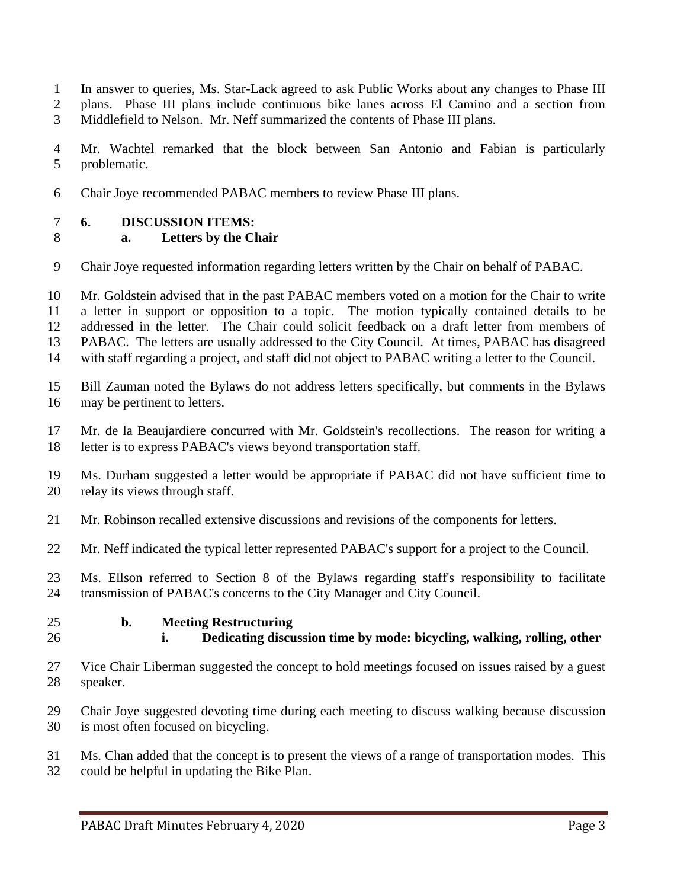- In answer to queries, Ms. Star-Lack agreed to ask Public Works about any changes to Phase III
- plans. Phase III plans include continuous bike lanes across El Camino and a section from
- Middlefield to Nelson. Mr. Neff summarized the contents of Phase III plans.
- Mr. Wachtel remarked that the block between San Antonio and Fabian is particularly problematic.
- Chair Joye recommended PABAC members to review Phase III plans.

#### **6. DISCUSSION ITEMS:**

#### **a. Letters by the Chair**

- Chair Joye requested information regarding letters written by the Chair on behalf of PABAC.
- Mr. Goldstein advised that in the past PABAC members voted on a motion for the Chair to write a letter in support or opposition to a topic. The motion typically contained details to be addressed in the letter. The Chair could solicit feedback on a draft letter from members of PABAC. The letters are usually addressed to the City Council. At times, PABAC has disagreed with staff regarding a project, and staff did not object to PABAC writing a letter to the Council.
- Bill Zauman noted the Bylaws do not address letters specifically, but comments in the Bylaws may be pertinent to letters.
- Mr. de la Beaujardiere concurred with Mr. Goldstein's recollections. The reason for writing a letter is to express PABAC's views beyond transportation staff.
- Ms. Durham suggested a letter would be appropriate if PABAC did not have sufficient time to relay its views through staff.
- Mr. Robinson recalled extensive discussions and revisions of the components for letters.
- Mr. Neff indicated the typical letter represented PABAC's support for a project to the Council.
- Ms. Ellson referred to Section 8 of the Bylaws regarding staff's responsibility to facilitate transmission of PABAC's concerns to the City Manager and City Council.
- 

#### **b. Meeting Restructuring**

- **i. Dedicating discussion time by mode: bicycling, walking, rolling, other**
- Vice Chair Liberman suggested the concept to hold meetings focused on issues raised by a guest speaker.
- Chair Joye suggested devoting time during each meeting to discuss walking because discussion is most often focused on bicycling.
- Ms. Chan added that the concept is to present the views of a range of transportation modes. This could be helpful in updating the Bike Plan.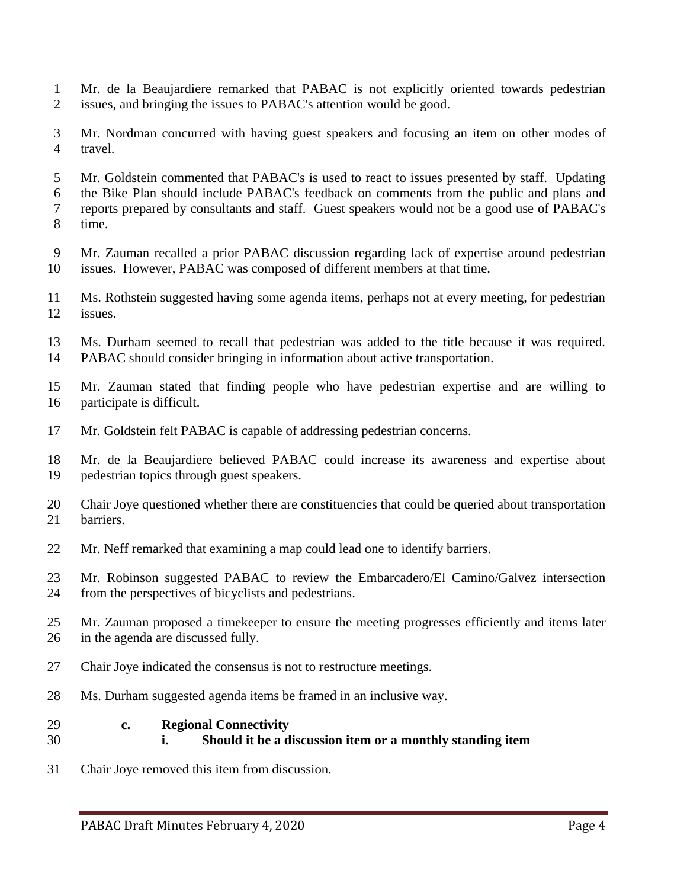- Mr. de la Beaujardiere remarked that PABAC is not explicitly oriented towards pedestrian issues, and bringing the issues to PABAC's attention would be good.
- Mr. Nordman concurred with having guest speakers and focusing an item on other modes of travel.
- Mr. Goldstein commented that PABAC's is used to react to issues presented by staff. Updating the Bike Plan should include PABAC's feedback on comments from the public and plans and reports prepared by consultants and staff. Guest speakers would not be a good use of PABAC's time.
- Mr. Zauman recalled a prior PABAC discussion regarding lack of expertise around pedestrian issues. However, PABAC was composed of different members at that time.
- Ms. Rothstein suggested having some agenda items, perhaps not at every meeting, for pedestrian issues.
- Ms. Durham seemed to recall that pedestrian was added to the title because it was required. PABAC should consider bringing in information about active transportation.
- Mr. Zauman stated that finding people who have pedestrian expertise and are willing to participate is difficult.
- Mr. Goldstein felt PABAC is capable of addressing pedestrian concerns.
- Mr. de la Beaujardiere believed PABAC could increase its awareness and expertise about pedestrian topics through guest speakers.
- Chair Joye questioned whether there are constituencies that could be queried about transportation barriers.
- Mr. Neff remarked that examining a map could lead one to identify barriers.
- Mr. Robinson suggested PABAC to review the Embarcadero/El Camino/Galvez intersection from the perspectives of bicyclists and pedestrians.
- Mr. Zauman proposed a timekeeper to ensure the meeting progresses efficiently and items later in the agenda are discussed fully.
- Chair Joye indicated the consensus is not to restructure meetings.
- Ms. Durham suggested agenda items be framed in an inclusive way.
- **c. Regional Connectivity**
- **i. Should it be a discussion item or a monthly standing item**
- Chair Joye removed this item from discussion.